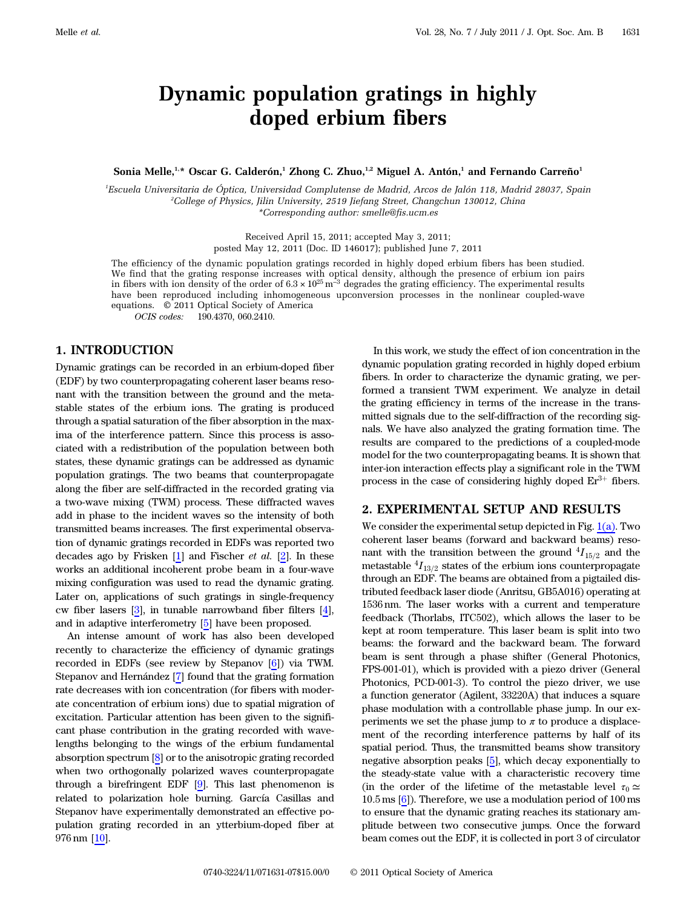# Dynamic population gratings in highly doped erbium fibers

Sonia Melle,<sup>1,\*</sup> Oscar G. Calderón,<sup>1</sup> Zhong C. Zhuo,<sup>1,2</sup> Miguel A. Antón,<sup>1</sup> and Fernando Carreño<sup>1</sup>

1 Escuela Universitaria de Óptica, Universidad Complutense de Madrid, Arcos de Jalón 118, Madrid 28037, Spain 2 College of Physics, Jilin University, 2519 Jiefang Street, Changchun 130012, China \*Corresponding author: smelle@fis.ucm.es

> Received April 15, 2011; accepted May 3, 2011; posted May 12, 2011 (Doc. ID 146017); published June 7, 2011

The efficiency of the dynamic population gratings recorded in highly doped erbium fibers has been studied. We find that the grating response increases with optical density, although the presence of erbium ion pairs in fibers with ion density of the order of <sup>6</sup>:<sup>3</sup> <sup>×</sup> <sup>1025</sup> <sup>m</sup>*<sup>−</sup>*<sup>3</sup> degrades the grating efficiency. The experimental results have been reproduced including inhomogeneous upconversion processes in the nonlinear coupled-wave equations. © 2011 Optical Society of America

OCIS codes: 190.4370, 060.2410.

#### 1. INTRODUCTION

Dynamic gratings can be recorded in an erbium-doped fiber (EDF) by two counterpropagating coherent laser beams resonant with the transition between the ground and the metastable states of the erbium ions. The grating is produced through a spatial saturation of the fiber absorption in the maxima of the interference pattern. Since this process is associated with a redistribution of the population between both states, these dynamic gratings can be addressed as dynamic population gratings. The two beams that counterpropagate along the fiber are self-diffracted in the recorded grating via a two-wave mixing (TWM) process. These diffracted waves add in phase to the incident waves so the intensity of both transmitted beams increases. The first experimental observation of dynamic gratings recorded in EDFs was reported two decades ago by Frisken  $[1]$  and Fischer *et al.*  $[2]$ . In these works an additional incoherent probe beam in a four-wave mixing configuration was used to read the dynamic grating. Later on, applications of such gratings in single-frequency cw fiber lasers [3], in tunable narrowband fiber filters [4], and in adaptive interferometry [5] have been proposed.

An intense amount of work has also been developed recently to characterize the efficiency of dynamic gratings recorded in EDFs (see review by Stepanov [6]) via TWM. Stepanov and Hernández [7] found that the grating formation rate decreases with ion concentration (for fibers with moderate concentration of erbium ions) due to spatial migration of excitation. Particular attention has been given to the significant phase contribution in the grating recorded with wavelengths belonging to the wings of the erbium fundamental absorption spectrum [8] or to the anisotropic grating recorded when two orthogonally polarized waves counterpropagate through a birefringent EDF [9]. This last phenomenon is related to polarization hole burning. García Casillas and Stepanov have experimentally demonstrated an effective population grating recorded in an ytterbium-doped fiber at 976 nm [10].

In this work, we study the effect of ion concentration in the dynamic population grating recorded in highly doped erbium fibers. In order to characterize the dynamic grating, we performed a transient TWM experiment. We analyze in detail the grating efficiency in terms of the increase in the transmitted signals due to the self-diffraction of the recording signals. We have also analyzed the grating formation time. The results are compared to the predictions of a coupled-mode model for the two counterpropagating beams. It is shown that inter-ion interaction effects play a significant role in the TWM process in the case of considering highly doped  $Er^{3+}$  fibers.

# 2. EXPERIMENTAL SETUP AND RESULTS

We consider the experimental setup depicted in Fig.  $1(a)$ . Two coherent laser beams (forward and backward beams) resonant with the transition between the ground  ${}^{4}I_{15/2}$  and the metastable  ${}^{4}I_{13/2}$  states of the erbium ions counterpropagate through an EDF. The beams are obtained from a pigtailed distributed feedback laser diode (Anritsu, GB5A016) operating at 1536 nm. The laser works with a current and temperature feedback (Thorlabs, ITC502), which allows the laser to be kept at room temperature. This laser beam is split into two beams: the forward and the backward beam. The forward beam is sent through a phase shifter (General Photonics, FPS-001-01), which is provided with a piezo driver (General Photonics, PCD-001-3). To control the piezo driver, we use a function generator (Agilent, 33220A) that induces a square phase modulation with a controllable phase jump. In our experiments we set the phase jump to  $\pi$  to produce a displacement of the recording interference patterns by half of its spatial period. Thus, the transmitted beams show transitory negative absorption peaks [5], which decay exponentially to the steady-state value with a characteristic recovery time (in the order of the lifetime of the metastable level  $\tau_0 \simeq$ <sup>10</sup>:<sup>5</sup> ms [6]). Therefore, we use a modulation period of <sup>100</sup> ms to ensure that the dynamic grating reaches its stationary amplitude between two consecutive jumps. Once the forward beam comes out the EDF, it is collected in port 3 of circulator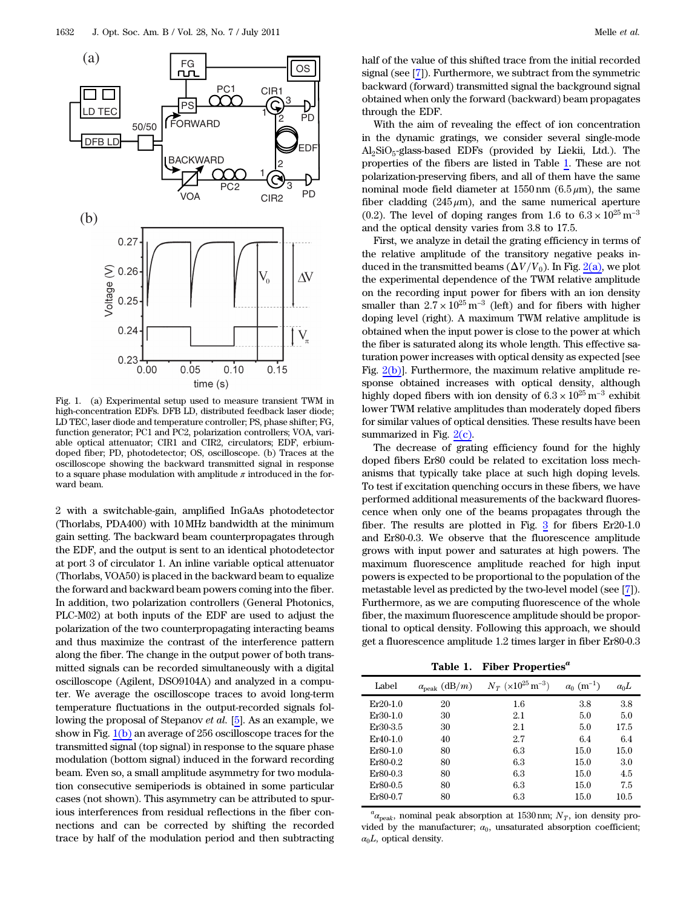

<span id="page-1-0"></span>Fig. 1. (a) Experimental setup used to measure transient TWM in high-concentration EDFs. DFB LD, distributed feedback laser diode; LD TEC, laser diode and temperature controller; PS, phase shifter; FG, function generator; PC1 and PC2, polarization controllers; VOA, variable optical attenuator; CIR1 and CIR2, circulators; EDF, erbiumdoped fiber; PD, photodetector; OS, oscilloscope. (b) Traces at the oscilloscope showing the backward transmitted signal in response to a square phase modulation with amplitude  $\pi$  introduced in the forward beam.

2 with a switchable-gain, amplified InGaAs photodetector (Thorlabs, PDA400) with 10 MHz bandwidth at the minimum gain setting. The backward beam counterpropagates through the EDF, and the output is sent to an identical photodetector at port 3 of circulator 1. An inline variable optical attenuator (Thorlabs, VOA50) is placed in the backward beam to equalize the forward and backward beam powers coming into the fiber. In addition, two polarization controllers (General Photonics, PLC-M02) at both inputs of the EDF are used to adjust the polarization of the two counterpropagating interacting beams and thus maximize the contrast of the interference pattern along the fiber. The change in the output power of both transmitted signals can be recorded simultaneously with a digital oscilloscope (Agilent, DSO9104A) and analyzed in a computer. We average the oscilloscope traces to avoid long-term temperature fluctuations in the output-recorded signals following the proposal of Stepanov et al. [5]. As an example, we show in Fig.  $1(b)$  an average of 256 oscilloscope traces for the transmitted signal (top signal) in response to the square phase modulation (bottom signal) induced in the forward recording beam. Even so, a small amplitude asymmetry for two modulation consecutive semiperiods is obtained in some particular cases (not shown). This asymmetry can be attributed to spurious interferences from residual reflections in the fiber connections and can be corrected by shifting the recorded trace by half of the modulation period and then subtracting

half of the value of this shifted trace from the initial recorded signal (see [7]). Furthermore, we subtract from the symmetric backward (forward) transmitted signal the background signal obtained when only the forward (backward) beam propagates through the EDF.

With the aim of revealing the effect of ion concentration in the dynamic gratings, we consider several single-mode Al2SiO5-glass-based EDFs (provided by Liekii, Ltd.). The properties of the fibers are listed in Table [1](#page-1-1). These are not polarization-preserving fibers, and all of them have the same nominal mode field diameter at  $1550 \text{ nm}$  (6.5  $\mu$ m), the same fiber cladding  $(245 \mu m)$ , and the same numerical aperture (0.2). The level of doping ranges from 1.6 to  $6.3 \times 10^{25}$  m<sup>-3</sup> and the optical density varies from 3.8 to 17.5.

First, we analyze in detail the grating efficiency in terms of the relative amplitude of the transitory negative peaks induced in the transmitted beams  $(\Delta V/V_0)$ . In Fig. [2\(a\),](#page-2-0) we plot the experimental dependence of the TWM relative amplitude on the recording input power for fibers with an ion density smaller than  $2.7 \times 10^{25}$  m<sup>-3</sup> (left) and for fibers with higher doping level (right). A maximum TWM relative amplitude is obtained when the input power is close to the power at which the fiber is saturated along its whole length. This effective saturation power increases with optical density as expected [see Fig. [2\(b\)](#page-2-0)]. Furthermore, the maximum relative amplitude response obtained increases with optical density, although highly doped fibers with ion density of  $6.3 \times 10^{25} \,\rm m^{-3}$  exhibit lower TWM relative amplitudes than moderately doped fibers for similar values of optical densities. These results have been summarized in Fig. [2\(c\).](#page-2-0)

The decrease of grating efficiency found for the highly doped fibers Er80 could be related to excitation loss mechanisms that typically take place at such high doping levels. To test if excitation quenching occurs in these fibers, we have performed additional measurements of the backward fluorescence when only one of the beams propagates through the fiber. The results are plotted in Fig. [3](#page-2-1) for fibers Er20-1.0 and Er80-0.3. We observe that the fluorescence amplitude grows with input power and saturates at high powers. The maximum fluorescence amplitude reached for high input powers is expected to be proportional to the population of the metastable level as predicted by the two-level model (see [7]). Furthermore, as we are computing fluorescence of the whole fiber, the maximum fluorescence amplitude should be proportional to optical density. Following this approach, we should get a fluorescence amplitude 1.2 times larger in fiber Er80-0.3

Table 1. Fiber Properties*<sup>a</sup>*

<span id="page-1-1"></span>

| Label      | $\alpha_{\rm peak}$ (dB/m) | $N_T$ (×10 <sup>25</sup> m <sup>-3</sup> ) | $\alpha_0$ (m <sup>-1</sup> ) | $\alpha_0L$ |
|------------|----------------------------|--------------------------------------------|-------------------------------|-------------|
| $Er20-1.0$ | 20                         | $1.6\,$                                    | 3.8                           | 3.8         |
| $Er30-1.0$ | 30                         | 2.1                                        | 5.0                           | 5.0         |
| Er30-3.5   | 30                         | 2.1                                        | 5.0                           | 17.5        |
| $Er40-1.0$ | 40                         | 2.7                                        | 6.4                           | 6.4         |
| $Er80-1.0$ | 80                         | 6.3                                        | 15.0                          | 15.0        |
| Er80-0.2   | 80                         | 6.3                                        | 15.0                          | 3.0         |
| Er80-0.3   | 80                         | 6.3                                        | 15.0                          | 4.5         |
| Er80-0.5   | 80                         | 6.3                                        | 15.0                          | 7.5         |
| Er80-0.7   | 80                         | 6.3                                        | 15.0                          | 10.5        |

 $a_{\alpha_{\text{peak}}}$ , nominal peak absorption at 1530 nm;  $N_T$ , ion density pro-<br>ded by the manufacturer  $\alpha$ , unsaturated absorption coefficient: vided by the manufacturer;  $\alpha_0$ , unsaturated absorption coefficient;  $\alpha_0 L$ , optical density.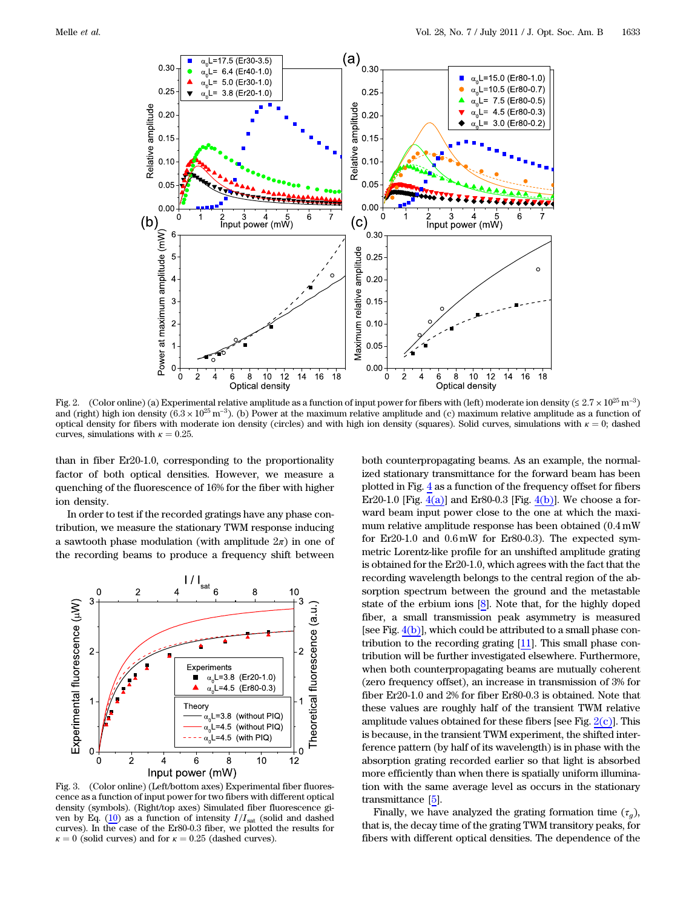<span id="page-2-2"></span>

<span id="page-2-0"></span>Fig. 2. (Color online) (a) Experimental relative amplitude as a function of input power for fibers with (left) moderate ion density (≤ 2.7 × 10<sup>25</sup> m<sup>-3</sup>) and (right) high ion density  $(6.3 \times 10^{25} \text{ m}^{-3})$ . (b) Power at the maximum relative amplitude and (c) maximum relative amplitude as a function of optical density for fibers with moderate ion density (circles) and with high ion density (squares). Solid curves, simulations with  $\kappa = 0$ ; dashed curves, simulations with  $\kappa = 0.25$ .

than in fiber Er20-1.0, corresponding to the proportionality factor of both optical densities. However, we measure a quenching of the fluorescence of 16% for the fiber with higher ion density.

In order to test if the recorded gratings have any phase contribution, we measure the stationary TWM response inducing a sawtooth phase modulation (with amplitude  $2\pi$ ) in one of the recording beams to produce a frequency shift between

<span id="page-2-1"></span>

Fig. 3. (Color online) (Left/bottom axes) Experimental fiber fluorescence as a function of input power for two fibers with different optical density (symbols). (Right/top axes) Simulated fiber fluorescence gi-ven by Eq. [\(10](#page-5-0)) as a function of intensity  $I/I_{\text{sat}}$  (solid and dashed curves). In the case of the Er80-0.3 fiber, we plotted the results for  $\kappa = 0$  (solid curves) and for  $\kappa = 0.25$  (dashed curves).

both counterpropagating beams. As an example, the normalized stationary transmittance for the forward beam has been plotted in Fig. [4](#page-3-0) as a function of the frequency offset for fibers Er20-1.0 [Fig.  $4(a)$ ] and Er80-0.3 [Fig.  $4(b)$ ]. We choose a forward beam input power close to the one at which the maximum relative amplitude response has been obtained (0:<sup>4</sup> mW for Er20-1.0 and  $0.6 \text{ mW}$  for Er80-0.3). The expected symmetric Lorentz-like profile for an unshifted amplitude grating is obtained for the Er20-1.0, which agrees with the fact that the recording wavelength belongs to the central region of the absorption spectrum between the ground and the metastable state of the erbium ions [8]. Note that, for the highly doped fiber, a small transmission peak asymmetry is measured [see Fig.  $4(b)$ ], which could be attributed to a small phase contribution to the recording grating [11]. This small phase contribution will be further investigated elsewhere. Furthermore, when both counterpropagating beams are mutually coherent (zero frequency offset), an increase in transmission of 3% for fiber Er20-1.0 and 2% for fiber Er80-0.3 is obtained. Note that these values are roughly half of the transient TWM relative amplitude values obtained for these fibers [see Fig.  $2(c)$ ]. This is because, in the transient TWM experiment, the shifted interference pattern (by half of its wavelength) is in phase with the absorption grating recorded earlier so that light is absorbed more efficiently than when there is spatially uniform illumination with the same average level as occurs in the stationary transmittance [5].

Finally, we have analyzed the grating formation time  $(\tau_q)$ , that is, the decay time of the grating TWM transitory peaks, for fibers with different optical densities. The dependence of the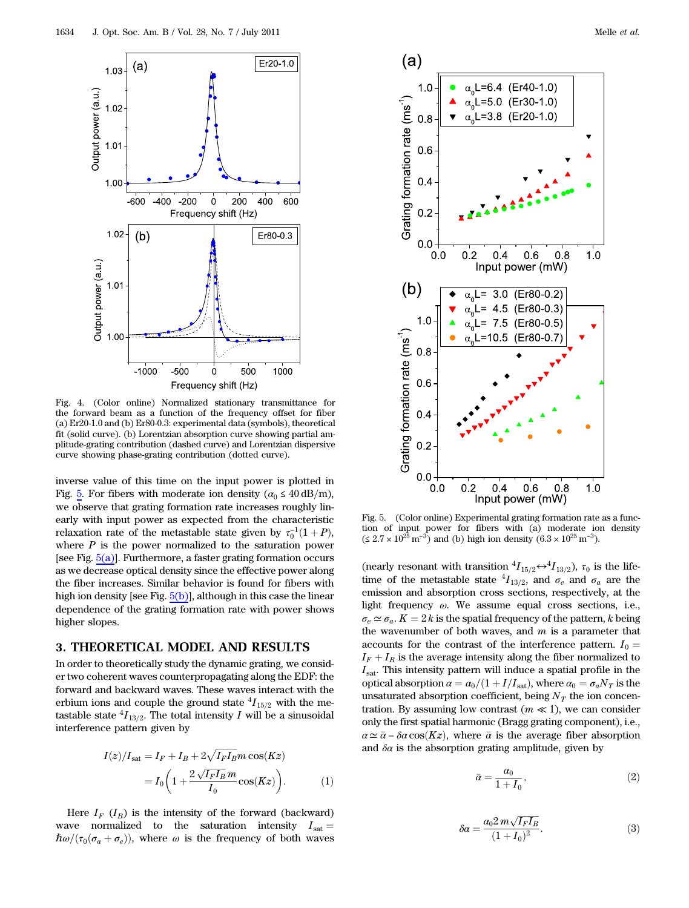<span id="page-3-0"></span>![](_page_3_Figure_1.jpeg)

<span id="page-3-1"></span>Fig. 4. (Color online) Normalized stationary transmittance for the forward beam as a function of the frequency offset for fiber (a) Er20-1.0 and (b) Er80-0.3: experimental data (symbols), theoretical fit (solid curve). (b) Lorentzian absorption curve showing partial amplitude-grating contribution (dashed curve) and Lorentzian dispersive curve showing phase-grating contribution (dotted curve).

inverse value of this time on the input power is plotted in Fig. [5.](#page-3-2) For fibers with moderate ion density ( $\alpha_0 \leq 40 \text{ dB/m}$ ), we observe that grating formation rate increases roughly linearly with input power as expected from the characteristic relaxation rate of the metastable state given by  $\tau_0^{-1}(1+P)$ ,<br>where P is the power pormalized to the saturation power where  $P$  is the power normalized to the saturation power [see Fig.  $5(a)$ ]. Furthermore, a faster grating formation occurs as we decrease optical density since the effective power along the fiber increases. Similar behavior is found for fibers with high ion density [see Fig. [5\(b\)\]](#page-3-3), although in this case the linear dependence of the grating formation rate with power shows higher slopes.

## 3. THEORETICAL MODEL AND RESULTS

In order to theoretically study the dynamic grating, we consider two coherent waves counterpropagating along the EDF: the forward and backward waves. These waves interact with the erbium ions and couple the ground state  ${}^{4}I_{15/2}$  with the metastable state  ${}^{4}I_{13/2}$ . The total intensity I will be a sinusoidal interference pattern given by

<span id="page-3-4"></span>
$$
I(z)/I_{\text{sat}} = I_F + I_B + 2\sqrt{I_F I_B} m \cos(Kz)
$$

$$
= I_0 \left(1 + \frac{2\sqrt{I_F I_B} m}{I_0} \cos(Kz)\right). \tag{1}
$$

Here  $I_F$  ( $I_B$ ) is the intensity of the forward (backward) wave normalized to the saturation intensity  $I_{\text{sat}} =$  $\hbar\omega/(\tau_0(\sigma_a+\sigma_e))$ , where  $\omega$  is the frequency of both waves

<span id="page-3-2"></span>![](_page_3_Figure_9.jpeg)

<span id="page-3-3"></span>Fig. 5. (Color online) Experimental grating formation rate as a function of input power for fibers with (a) moderate ion density ( $\leq 2.7 \times 10^{25} \,\mathrm{m}^{-3}$ ) and (b) high ion density (6.3 × 10<sup>25</sup> m<sup>-3</sup>).

(nearly resonant with transition  ${}^4I_{15/2} \leftrightarrow {}^4I_{13/2}$ ),  $\tau_0$  is the lifetime of the metastable state  ${}^4I_{13/2}$ , and  $\sigma_e$  and  $\sigma_a$  are the emission and absorption cross sections, respectively, at the light frequency  $\omega$ . We assume equal cross sections, i.e.,  $\sigma_e \simeq \sigma_a$ .  $K = 2k$  is the spatial frequency of the pattern, k being the wavenumber of both waves, and  $m$  is a parameter that accounts for the contrast of the interference pattern.  $I_0 =$  $I_F + I_B$  is the average intensity along the fiber normalized to  $I_{\text{sat}}$ . This intensity pattern will induce a spatial profile in the optical absorption  $\alpha = \alpha_0/(1 + I/I_{\rm sat})$ , where  $\alpha_0 = \sigma_a N_T$  is the unsaturated absorption coefficient, being  $N_T$  the ion concentration. By assuming low contrast  $(m \ll 1)$ , we can consider only the first spatial harmonic (Bragg grating component), i.e.,  $\alpha \simeq \bar{\alpha} - \delta \alpha \cos(Kz)$ , where  $\bar{\alpha}$  is the average fiber absorption and  $\delta \alpha$  is the absorption grating amplitude, given by

$$
\bar{\alpha} = \frac{\alpha_0}{1 + I_0},\tag{2}
$$

$$
\delta \alpha = \frac{a_0 2 m \sqrt{I_F I_B}}{(1 + I_0)^2}.
$$
\n(3)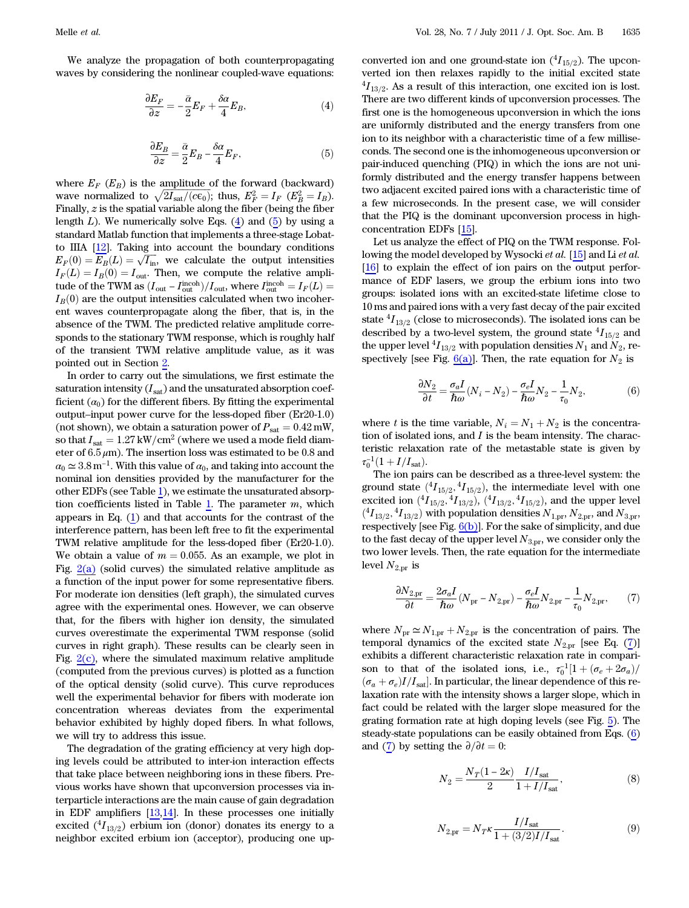<span id="page-4-0"></span>We analyze the propagation of both counterpropagating waves by considering the nonlinear coupled-wave equations:

$$
\frac{\partial E_F}{\partial z} = -\frac{\bar{\alpha}}{2} E_F + \frac{\delta \alpha}{4} E_B,\tag{4}
$$

$$
\frac{\partial E_B}{\partial z} = \frac{\bar{\alpha}}{2} E_B - \frac{\delta \alpha}{4} E_F,\tag{5}
$$

where  $E_F$  ( $E_B$ ) is the amplitude of the forward (backward) wave normalized to  $\sqrt{2I_{\text{sat}}/(c\epsilon_0)}$ ; thus,  $E_F^2 = I_F$   $(E_B^2 = I_B)$ .<br>Finally z is the spatial variable along the fiber (being the fiber Finally,  $z$  is the spatial variable along the fiber (being the fiber length  $L$ ). We numerically solve Eqs. (4) and [\(5\)](#page-4-0) by using a standard Matlab function that implements a three-stage Lobatto IIIA [12]. Taking into account the boundary conditions  $E_F(0) = E_B(L) = \sqrt{I_{\text{in}}},$  we calculate the output intensities  $I_{-1}(L) = I_{-1}(0) - I$ . Then we compute the relative appli- $I_F(L) = I_B(0) = I_{\text{out}}$ . Then, we compute the relative amplitude of the TWM as  $(I_{\text{out}} - I_{\text{incoh}}^{\text{incoh}})/I_{\text{out}}$ , where  $I_{\text{incoh}}^{\text{incoh}} = I_F(L) = I_{\text{out}}(0)$  are the output intensities calculated when two incoher- $I_B(0)$  are the output intensities calculated when two incoherent waves counterpropagate along the fiber, that is, in the absence of the TWM. The predicted relative amplitude corresponds to the stationary TWM response, which is roughly half of the transient TWM relative amplitude value, as it was pointed out in Section [2](#page-2-2).

In order to carry out the simulations, we first estimate the saturation intensity  $(I_{sat})$  and the unsaturated absorption coefficient  $(\alpha_0)$  for the different fibers. By fitting the experimental output–input power curve for the less-doped fiber (Er20-1.0) (not shown), we obtain a saturation power of  $P_{\text{sat}} = 0.42 \text{ mW}$ , so that  $I_{\text{sat}} = 1.27 \text{ kW/cm}^2$  (where we used a mode field diameter of  $6.5 \mu$ m). The insertion loss was estimated to be 0.8 and  $\alpha_0 \simeq 3.8 \,\mathrm{m}^{-1}$ . With this value of  $\alpha_0$ , and taking into account the nominal ion densities provided by the manufacturer for the other EDFs (see Table [1\)](#page-1-1), we estimate the unsaturated absorp-tion coefficients listed in Table [1.](#page-1-1) The parameter  $m$ , which appears in Eq. [\(1\)](#page-3-4) and that accounts for the contrast of the interference pattern, has been left free to fit the experimental TWM relative amplitude for the less-doped fiber (Er20-1.0). We obtain a value of  $m = 0.055$ . As an example, we plot in Fig. [2\(a\)](#page-2-0) (solid curves) the simulated relative amplitude as a function of the input power for some representative fibers. For moderate ion densities (left graph), the simulated curves agree with the experimental ones. However, we can observe that, for the fibers with higher ion density, the simulated curves overestimate the experimental TWM response (solid curves in right graph). These results can be clearly seen in Fig.  $2(c)$ , where the simulated maximum relative amplitude (computed from the previous curves) is plotted as a function of the optical density (solid curve). This curve reproduces well the experimental behavior for fibers with moderate ion concentration whereas deviates from the experimental behavior exhibited by highly doped fibers. In what follows, we will try to address this issue.

The degradation of the grating efficiency at very high doping levels could be attributed to inter-ion interaction effects that take place between neighboring ions in these fibers. Previous works have shown that upconversion processes via interparticle interactions are the main cause of gain degradation in EDF amplifiers  $[13,14]$ . In these processes one initially excited  $(^4I_{13/2})$  erbium ion (donor) donates its energy to a neighbor excited erbium ion (acceptor), producing one up-

converted ion and one ground-state ion  $(^4I_{15/2})$ . The upconverted ion then relaxes rapidly to the initial excited state  $^{4}I_{13/2}$ . As a result of this interaction, one excited ion is lost.<br>There are two different kinds of unconversion processes. The There are two different kinds of upconversion processes. The first one is the homogeneous upconversion in which the ions are uniformly distributed and the energy transfers from one ion to its neighbor with a characteristic time of a few milliseconds. The second one is the inhomogeneous upconversion or pair-induced quenching (PIQ) in which the ions are not uniformly distributed and the energy transfer happens between two adjacent excited paired ions with a characteristic time of a few microseconds. In the present case, we will consider that the PIQ is the dominant upconversion process in highconcentration EDFs [15].

Let us analyze the effect of PIQ on the TWM response. Following the model developed by Wysocki et al. [15] and Li et al. [16] to explain the effect of ion pairs on the output performance of EDF lasers, we group the erbium ions into two groups: isolated ions with an excited-state lifetime close to 10 ms and paired ions with a very fast decay of the pair excited state  ${}^{4}I_{13/2}$  (close to microseconds). The isolated ions can be described by a two-level system, the ground state  ${}^4I_{15/2}$  and the upper level  ${}^4I_{13/2}$  with population densities  $N_1$  and  $N_2$ , respectively [see Fig.  $6(a)$ ]. Then, the rate equation for  $N_2$  is

<span id="page-4-2"></span>
$$
\frac{\partial N_2}{\partial t} = \frac{\sigma_a I}{\hbar \omega} (N_i - N_2) - \frac{\sigma_e I}{\hbar \omega} N_2 - \frac{1}{\tau_0} N_2, \tag{6}
$$

where t is the time variable,  $N_i = N_1 + N_2$  is the concentration of isolated ions, and  $I$  is the beam intensity. The characteristic relaxation rate of the metastable state is given by  $\tau_0^{-1}(1+I/I_{\text{sat}}).$ <br>The ion pair

The ion pairs can be described as a three-level system: the ground state  $({}^{4}I_{15/2}, {}^{4}I_{15/2})$ , the intermediate level with one excited ion  $({}^{4}I_{15/2}, {}^{4}I_{13/2}), ({}^{4}I_{13/2}, {}^{4}I_{15/2}),$  and the upper level  $({}^{4}I_{13}..., {}^{4}I_{13/2}),$  with population densities  $N_a$   $N_a$  and  $N_a$  $\binom{4I_{13/2}, 4I_{13/2}}{I_{13/2}}$  with population densities  $N_{1,\text{pr}}, N_{2,\text{pr}},$  and  $N_{3,\text{pr}},$ <br>respectively [see Fig. 6(b)]. For the sake of simplicity, and due respectively [see Fig.  $6(b)$ ]. For the sake of simplicity, and due to the fast decay of the upper level  $N_{3,\text{pr}}$ , we consider only the two lower levels. Then, the rate equation for the intermediate level  $N_{2,\text{pr}}$  is

<span id="page-4-1"></span>
$$
\frac{\partial N_{2,\text{pr}}}{\partial t} = \frac{2\sigma_a I}{\hbar \omega} (N_{\text{pr}} - N_{2,\text{pr}}) - \frac{\sigma_e I}{\hbar \omega} N_{2,\text{pr}} - \frac{1}{\tau_0} N_{2,\text{pr}},\tag{7}
$$

where  $N_{\text{pr}} \simeq N_{1,\text{pr}} + N_{2,\text{pr}}$  is the concentration of pairs. The temporal dynamics of the excited state  $N_{2,\text{pr}}$  [see Eq. [\(7\)](#page-4-1)] exhibits a different characteristic relaxation rate in comparison to that of the isolated ions, i.e.,  $\tau_0^{-1}[1 + (\sigma_e + 2\sigma_a)/(\sigma_e + \sigma_c)/I$ . In particular the linear dependence of this re- $(\sigma_a+\sigma_e)I/I_{sat}$ . In particular, the linear dependence of this relaxation rate with the intensity shows a larger slope, which in fact could be related with the larger slope measured for the grating formation rate at high doping levels (see Fig. [5](#page-3-2)). The steady-state populations can be easily obtained from Eqs. [\(6\)](#page-4-2) and [\(7\)](#page-4-1) by setting the  $\partial/\partial t=0$ :

$$
N_2 = \frac{N_T(1 - 2\kappa)}{2} \frac{I/I_{\text{sat}}}{1 + I/I_{\text{sat}}},
$$
\n(8)

$$
N_{2,\text{pr}} = N_T \kappa \frac{I/I_{\text{sat}}}{1 + (3/2)I/I_{\text{sat}}}.\tag{9}
$$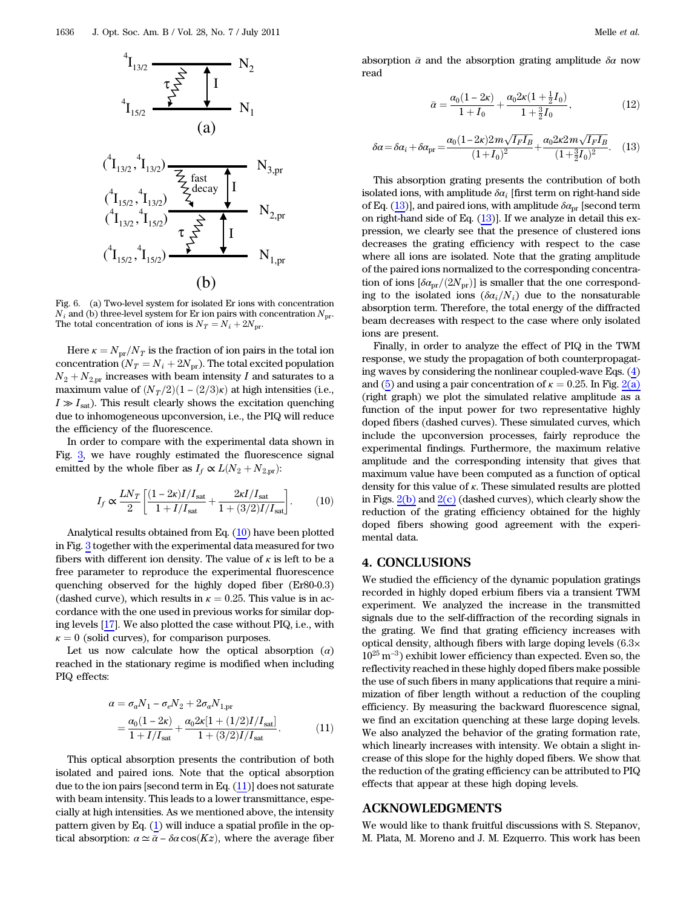![](_page_5_Figure_1.jpeg)

<span id="page-5-1"></span>Fig. 6. (a) Two-level system for isolated Er ions with concentration  $N_i$  and (b) three-level system for Er ion pairs with concentration  $N_{\text{pr}}$ . The total concentration of ions is  $N_T = N_i + 2N_{pr}$ .

Here  $\kappa = N_{\text{pr}}/N_T$  is the fraction of ion pairs in the total ion concentration ( $N_T = N_i + 2N_{pr}$ ). The total excited population  $N_2 + N_{2,\text{pr}}$  increases with beam intensity I and saturates to a maximum value of  $(N_T/2)(1 - (2/3)\kappa)$  at high intensities (i.e.,  $I \gg I<sub>sat</sub>$ ). This result clearly shows the excitation quenching due to inhomogeneous upconversion, i.e., the PIQ will reduce the efficiency of the fluorescence.

In order to compare with the experimental data shown in Fig. [3,](#page-2-1) we have roughly estimated the fluorescence signal emitted by the whole fiber as  $I_f \propto L(N_2 + N_{2,\text{pr}})$ :

<span id="page-5-0"></span>
$$
I_f \propto \frac{LN_T}{2} \left[ \frac{(1 - 2\kappa)I/I_{\rm sat}}{1 + I/I_{\rm sat}} + \frac{2\kappa I/I_{\rm sat}}{1 + (3/2)I/I_{\rm sat}} \right].
$$
 (10)

Analytical results obtained from Eq. ([10\)](#page-5-0) have been plotted in Fig. [3](#page-2-1) together with the experimental data measured for two fibers with different ion density. The value of  $\kappa$  is left to be a free parameter to reproduce the experimental fluorescence quenching observed for the highly doped fiber (Er80-0.3) (dashed curve), which results in  $\kappa = 0.25$ . This value is in accordance with the one used in previous works for similar doping levels [17]. We also plotted the case without PIQ, i.e., with  $\kappa = 0$  (solid curves), for comparison purposes.

Let us now calculate how the optical absorption  $(\alpha)$ reached in the stationary regime is modified when including PIQ effects:

<span id="page-5-2"></span>
$$
\alpha = \sigma_a N_1 - \sigma_e N_2 + 2\sigma_a N_{1,\text{pr}}
$$
  
= 
$$
\frac{\alpha_0 (1 - 2\kappa)}{1 + I/I_{\text{sat}}} + \frac{\alpha_0 2\kappa [1 + (1/2)I/I_{\text{sat}}]}{1 + (3/2)I/I_{\text{sat}}}.
$$
 (11)

This optical absorption presents the contribution of both isolated and paired ions. Note that the optical absorption due to the ion pairs [second term in Eq.  $(11)$  $(11)$ ] does not saturate with beam intensity. This leads to a lower transmittance, especially at high intensities. As we mentioned above, the intensity pattern given by Eq. [\(1\)](#page-3-4) will induce a spatial profile in the optical absorption:  $\alpha \simeq \bar{\alpha} - \delta \alpha \cos(Kz)$ , where the average fiber <span id="page-5-3"></span>absorption  $\bar{\alpha}$  and the absorption grating amplitude  $\delta \alpha$  now read

$$
\bar{\alpha} = \frac{\alpha_0 (1 - 2\kappa)}{1 + I_0} + \frac{\alpha_0 2\kappa (1 + \frac{1}{2}I_0)}{1 + \frac{3}{2}I_0},\tag{12}
$$

$$
\delta \alpha = \delta \alpha_i + \delta \alpha_{\rm pr} = \frac{\alpha_0 (1 - 2\kappa) 2m \sqrt{I_F I_B}}{(1 + I_0)^2} + \frac{\alpha_0 2\kappa 2m \sqrt{I_F I_B}}{(1 + \frac{3}{2} I_0)^2}.
$$
 (13)

This absorption grating presents the contribution of both isolated ions, with amplitude  $\delta \alpha_i$  [first term on right-hand side of Eq. [\(13](#page-5-3))], and paired ions, with amplitude  $\delta \alpha_{\rm pr}$  [second term on right-hand side of Eq.  $(13)$  $(13)$ ]. If we analyze in detail this expression, we clearly see that the presence of clustered ions decreases the grating efficiency with respect to the case where all ions are isolated. Note that the grating amplitude of the paired ions normalized to the corresponding concentration of ions  $[\delta a_{\rm pr}/(2N_{\rm pr})]$  is smaller that the one corresponding to the isolated ions  $(\delta a_i/N_i)$  due to the nonsaturable absorption term. Therefore, the total energy of the diffracted beam decreases with respect to the case where only isolated ions are present.

Finally, in order to analyze the effect of PIQ in the TWM response, we study the propagation of both counterpropagating waves by considering the nonlinear coupled-wave Eqs. (4) and [\(5\)](#page-4-0) and using a pair concentration of  $\kappa = 0.25$ . In Fig. [2\(a\)](#page-2-0) (right graph) we plot the simulated relative amplitude as a function of the input power for two representative highly doped fibers (dashed curves). These simulated curves, which include the upconversion processes, fairly reproduce the experimental findings. Furthermore, the maximum relative amplitude and the corresponding intensity that gives that maximum value have been computed as a function of optical density for this value of κ. These simulated results are plotted in Figs.  $2(b)$  and  $2(c)$  (dashed curves), which clearly show the reduction of the grating efficiency obtained for the highly doped fibers showing good agreement with the experimental data.

#### 4. CONCLUSIONS

We studied the efficiency of the dynamic population gratings recorded in highly doped erbium fibers via a transient TWM experiment. We analyzed the increase in the transmitted signals due to the self-diffraction of the recording signals in the grating. We find that grating efficiency increases with optical density, although fibers with large doping levels  $(6.3\times$  $10^{25}$  m<sup>-3</sup>) exhibit lower efficiency than expected. Even so, the reflectivity reached in these highly doped fibers make possible the use of such fibers in many applications that require a minimization of fiber length without a reduction of the coupling efficiency. By measuring the backward fluorescence signal, we find an excitation quenching at these large doping levels. We also analyzed the behavior of the grating formation rate, which linearly increases with intensity. We obtain a slight increase of this slope for the highly doped fibers. We show that the reduction of the grating efficiency can be attributed to PIQ effects that appear at these high doping levels.

# ACKNOWLEDGMENTS

We would like to thank fruitful discussions with S. Stepanov, M. Plata, M. Moreno and J. M. Ezquerro. This work has been